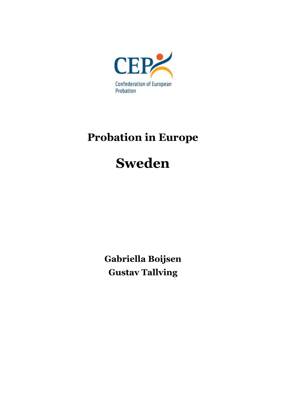

# **Probation in Europe**

# **Sweden**

**Gabriella Boijsen Gustav Tallving**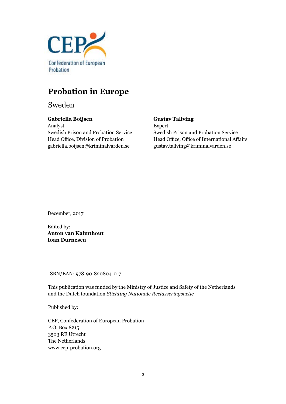

# **Probation in Europe**

Sweden

## **Gabriella Boijsen**

Analyst Swedish Prison and Probation Service Head Office, Division of Probation gabriella.boijsen@kriminalvarden.se

#### **Gustav Tallving**

Expert Swedish Prison and Probation Service Head Office, Office of International Affairs gustav.tallving@kriminalvarden.se

December, 2017

Edited by: **Anton van Kalmthout Ioan Durnescu**

ISBN/EAN: 978-90-820804-0-7

This publication was funded by the Ministry of Justice and Safety of the Netherlands and the Dutch foundation *Stichting Nationale Reclasseringsactie*

Published by:

CEP, Confederation of European Probation P.O. Box 8215 3503 RE Utrecht The Netherlands www.cep-probation.org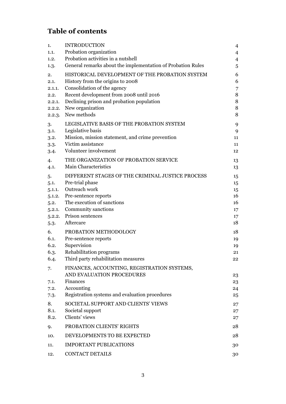# **Table of contents**

| 1.           | <b>INTRODUCTION</b>                                                      | $\overline{4}$ |
|--------------|--------------------------------------------------------------------------|----------------|
| 1.1.         | Probation organization                                                   | 4              |
| 1.2.         | Probation activities in a nutshell                                       | $\overline{4}$ |
| 1.3.         | General remarks about the implementation of Probation Rules              | 5              |
| 2.           | HISTORICAL DEVELOPMENT OF THE PROBATION SYSTEM                           | 6              |
| 2.1.         | History from the origins to 2008                                         | 6              |
| 2.1.1.       | Consolidation of the agency                                              | 7              |
| 2.2.         | Recent development from 2008 until 2016                                  | 8              |
| 2.2.1.       | Declining prison and probation population                                | 8              |
| 2.2.2.       | New organization                                                         | $\, 8$         |
| 2.2.3.       | New methods                                                              | 8              |
| 3.           | LEGISLATIVE BASIS OF THE PROBATION SYSTEM                                | 9              |
| 3.1.         | Legislative basis                                                        | 9              |
| 3.2.         | Mission, mission statement, and crime prevention                         | 11             |
| 3.3.         | Victim assistance                                                        | 11             |
| 3.4.         | Volunteer involvement                                                    | 12             |
| 4.           | THE ORGANIZATION OF PROBATION SERVICE                                    | 13             |
| 4.1.         | Main Characteristics                                                     | 13             |
| 5.           | DIFFERENT STAGES OF THE CRIMINAL JUSTICE PROCESS                         | 15             |
| 5.1.         | Pre-trial phase                                                          | 15             |
| 5.1.1.       | Outreach work                                                            | 15             |
| 5.1.2.       | Pre-sentence reports                                                     | 16             |
| 5.2.         | The execution of sanctions                                               | 16             |
| 5.2.1.       | Community sanctions                                                      | 17             |
| 5.2.2.       | Prison sentences<br>Aftercare                                            | $17 \,$        |
| 5.3.         |                                                                          | 18             |
| 6.           | PROBATION METHODOLOGY                                                    | 18             |
| 6.1.         | Pre-sentence reports                                                     | 19             |
| 6.2.         | Supervision                                                              | 19             |
| 6.3.<br>6.4. | Rehabilitation programs<br>Third party rehabilitation measures           | 21<br>22       |
|              |                                                                          |                |
| 7.           | FINANCES, ACCOUNTING, REGISTRATION SYSTEMS,<br>AND EVALUATION PROCEDURES |                |
|              | Finances                                                                 | 23             |
| 7.1.<br>7.2. | Accounting                                                               | 23<br>24       |
| 7.3.         | Registration systems and evaluation procedures                           | 25             |
|              | SOCIETAL SUPPORT AND CLIENTS' VIEWS                                      |                |
| 8.<br>8.1.   |                                                                          | 27             |
| 8.2.         | Societal support<br>Clients' views                                       | 27<br>27       |
|              |                                                                          |                |
| 9.           | PROBATION CLIENTS' RIGHTS                                                | 28             |
| 10.          | DEVELOPMENTS TO BE EXPECTED                                              | 28             |
| 11.          | <b>IMPORTANT PUBLICATIONS</b>                                            | 30             |
| 12.          | <b>CONTACT DETAILS</b>                                                   | 30             |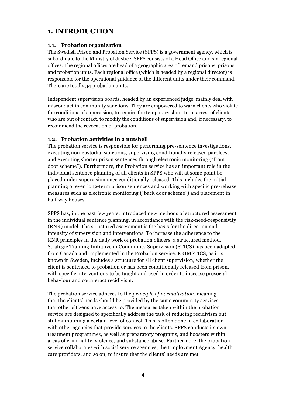# **1. INTRODUCTION**

#### **1.1. Probation organization**

The Swedish Prison and Probation Service (SPPS) is a government agency, which is subordinate to the Ministry of Justice. SPPS consists of a Head Office and six regional offices. The regional offices are head of a geographic area of remand prisons, prisons and probation units. Each regional office (which is headed by a regional director) is responsible for the operational guidance of the different units under their command. There are totally 34 probation units.

Independent supervision boards, headed by an experienced judge, mainly deal with misconduct in community sanctions. They are empowered to warn clients who violate the conditions of supervision, to require the temporary short-term arrest of clients who are out of contact, to modify the conditions of supervision and, if necessary, to recommend the revocation of probation.

## **1.2. Probation activities in a nutshell**

The probation service is responsible for performing pre-sentence investigations, executing non-custodial sanctions, supervising conditionally released parolees, and executing shorter prison sentences through electronic monitoring ("front door scheme"). Furthermore, the Probation service has an important role in the individual sentence planning of all clients in SPPS who will at some point be placed under supervision once conditionally released. This includes the initial planning of even long-term prison sentences and working with specific pre-release measures such as electronic monitoring ("back door scheme") and placement in half-way houses.

SPPS has, in the past few years, introduced new methods of structured assessment in the individual sentence planning, in accordance with the risk-need-responsivity (RNR) model. The structured assessment is the basis for the direction and intensity of supervision and interventions. To increase the adherence to the RNR principles in the daily work of probation officers, a structured method. Strategic Training Initiative in Community Supervision (STICS) has been adapted from Canada and implemented in the Probation service. KRIMSTICS, as it is known in Sweden, includes a structure for all client supervision, whether the client is sentenced to probation or has been conditionally released from prison, with specific interventions to be taught and used in order to increase prosocial behaviour and counteract recidivism.

The probation service adheres to the *principle of normalization*, meaning that the clients' needs should be provided by the same community services that other citizens have access to. The measures taken within the probation service are designed to specifically address the task of reducing recidivism but still maintaining a certain level of control. This is often done in collaboration with other agencies that provide services to the clients. SPPS conducts its own treatment programmes, as well as preparatory programs, and boosters within areas of criminality, violence, and substance abuse. Furthermore, the probation service collaborates with social service agencies, the Employment Agency, health care providers, and so on, to insure that the clients' needs are met.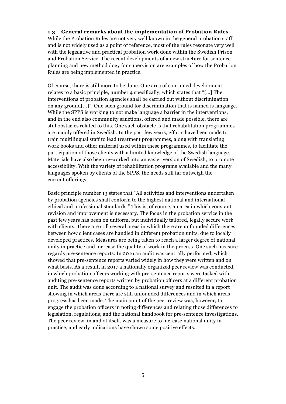#### **1.3. General remarks about the implementation of Probation Rules**

While the Probation Rules are not very well known in the general probation staff and is not widely used as a point of reference, most of the rules resonate very well with the legislative and practical probation work done within the Swedish Prison and Probation Service. The recent developments of a new structure for sentence planning and new methodology for supervision are examples of how the Probation Rules are being implemented in practice.

Of course, there is still more to be done. One area of continued development relates to a basic principle, number 4 specifically, which states that "[…] The interventions of probation agencies shall be carried out without discrimination on any ground[...]". One such ground for discrimination that is named is language. While the SPPS is working to not make language a barrier in the interventions, and in the end also community sanctions, offered and made possible, there are still obstacles related to this. One such obstacle is that rehabilitation programmes are mainly offered in Swedish. In the past few years, efforts have been made to train multilingual staff to lead treatment programmes, along with translating work books and other material used within these programmes, to facilitate the participation of those clients with a limited knowledge of the Swedish language. Materials have also been re-worked into an easier version of Swedish, to promote accessibility. With the variety of rehabilitation programs available and the many languages spoken by clients of the SPPS, the needs still far outweigh the current offerings.

<span id="page-4-0"></span>Basic principle number 13 states that "All activities and interventions undertaken by probation agencies shall conform to the highest national and international ethical and professional standards." This is, of course, an area in which constant revision and improvement is necessary. The focus in the probation service in the past few years has been on uniform, but individually tailored, legally secure work with clients. There are still several areas in which there are unfounded differences between how client cases are handled in different probation units, due to locally developed practices. Measures are being taken to reach a larger degree of national unity in practice and increase the quality of work in the process. One such measure regards pre-sentence reports. In 2016 an audit was centrally performed, which showed that pre-sentence reports varied widely in how they were written and on what basis. As a result, in 2017 a nationally organized peer review was conducted, in which probation officers working with pre-sentence reports were tasked with auditing pre-sentence reports written by probation officers at a different probation unit. The audit was done according to a national survey and resulted in a report showing in which areas there are still unfounded differences and in which areas progress has been made. The main point of the peer review was, however, to engage the probation officers in noting differences and relating those differences to legislation, regulations, and the national handbook for pre-sentence investigations. The peer review, in and of itself, was a measure to increase national unity in practice, and early indications have shown some positive effects.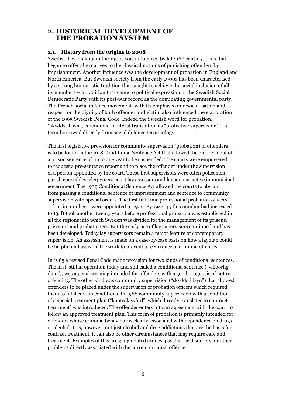## **2. HISTORICAL DEVELOPMENT OF THE PROBATION SYSTEM**

#### **2.1. History from the origins to 2008**

Swedish law-making in the 1900s was influenced by late 18<sup>th</sup> century ideas that began to offer alternatives to the classical notions of punishing offenders by imprisonment. Another influence was the development of probation in England and North America. But Swedish society from the early 1900s has been characterised by a strong humanistic tradition that sought to achieve the social inclusion of all its members – a tradition that came to political expression in the Swedish Social Democratic Party with its post-war record as the dominating governmental party. The French social defence movement, with its emphasis on resocialisation and respect for the dignity of both offender and victim also influenced the elaboration of the 1965 Swedish Penal Code. Indeed the Swedish word for probation, "skyddstillsyn", is rendered in literal translation as "protective supervision" – a term borrowed directly from social defence terminology.

The first legislative provision for community supervision (probation) of offenders is to be found in the 1918 Conditional Sentence Act that allowed the enforcement of a prison sentence of up to one year to be suspended. The courts were empowered to request a pre-sentence report and to place the offender under the supervision of a person appointed by the court. These first supervisors were often policemen, parish constables, clergymen, court lay assessors and laypersons active in municipal government. The 1939 Conditional Sentence Act allowed the courts to abstain from passing a conditional sentence of imprisonment and sentence to community supervision with special orders. The first full-time professional probation officers – four in number – were appointed in 1942. By 1944-45 this number had increased to 13. It took another twenty years before professional probation was established in all the regions into which Sweden was divided for the management of its prisons, prisoners and probationers. But the early use of lay supervisors continued and has been developed. Today lay supervisors remain a major feature of contemporary supervision. An assessment is made on a case-by-case basis on how a layman could be helpful and assist in the work to prevent a recurrence of criminal offences.

In 1965 a revised Penal Code made provision for two kinds of conditional sentences. The first, still in operation today and still called a conditional sentence ("villkorlig dom"), was a penal warning intended for offenders with a good prognosis of not reoffending. The other kind was community supervision ("skyddstillsyn") that allowed offenders to be placed under the supervision of probation officers which required them to fulfil certain conditions. In 1988 community supervision with a condition of a special treatment plan ("kontraktsvård", which directly translates to contract treatment) was introduced. The offender enters into an agreement with the court to follow an approved treatment plan. This form of probation is primarily intended for offenders whose criminal behaviour is clearly associated with dependence on drugs or alcohol. It is, however, not just alcohol and drug addictions that are the basis for contract treatment, it can also be other circumstances that may require care and treatment. Examples of this are gang related crimes, psychiatric disorders, or other problems directly associated with the current criminal offence.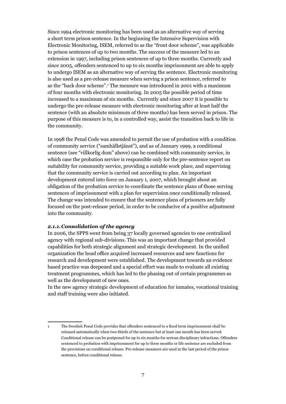Since 1994 electronic monitoring has been used as an alternative way of serving a short term prison sentence. In the beginning the Intensive Supervision with Electronic Monitoring, ISEM, referred to as the "front door scheme", was applicable to prison sentences of up to two months. The success of the measure led to an extension in 1997, including prison sentences of up to three months. Currently and since 2005, offenders sentenced to up to six months imprisonment are able to apply to undergo ISEM as an alternative way of serving the sentence. Electronic monitoring is also used as a pre-release measure when serving a prison sentence, referred to as the "back door scheme".1 The measure was introduced in 2001 with a maximum of four months with electronic monitoring. In 2005 the possible period of time increased to a maximum of six months. Currently and since 2007 it is possible to undergo the pre-release measure with electronic monitoring after at least half the sentence (with an absolute minimum of three months) has been served in prison. The purpose of this measure is to, in a controlled way, assist the transition back to life in the community.

In 1998 the Penal Code was amended to permit the use of probation with a condition of community service ("samhällstjänst"), and as of January 1999, a conditional sentence (see "villkorlig dom" above) can be combined with community service, in which case the probation service is responsible only for the pre-sentence report on suitability for community service, providing a suitable work place, and supervising that the community service is carried out according to plan. An important development entered into force on January 1, 2007, which brought about an obligation of the probation service to coordinate the sentence plans of those serving sentences of imprisonment with a plan for supervision once conditionally released. The change was intended to ensure that the sentence plans of prisoners are fully focused on the post-release period, in order to be conducive of a positive adjustment into the community.

#### *2.1.1.Consolidation of the agency*

In 2006, the SPPS went from being 37 locally governed agencies to one centralized agency with regional sub-divisions. This was an important change that provided capabilities for both strategic alignment and strategic development. In the unified organization the head office acquired increased resources and new functions for research and development were established. The development towards an evidence based practice was deepened and a special effort was made to evaluate all existing treatment programmes, which has led to the phasing out of certain programmes as well as the development of new ones.

In the new agency strategic development of education for inmates, vocational training and staff training were also initiated.

<sup>1</sup> The Swedish Penal Code provides that offenders sentenced to a fixed term imprisonment shall be released automatically when two-thirds of the sentence but at least one month has been served. Conditional release can be postponed for up to six months for serious disciplinary infractions. Offenders sentenced to probation with imprisonment for up to three months or life sentence are excluded from the provisions on conditional release. Pre-release measures are used in the last period of the prison sentence, before conditional release.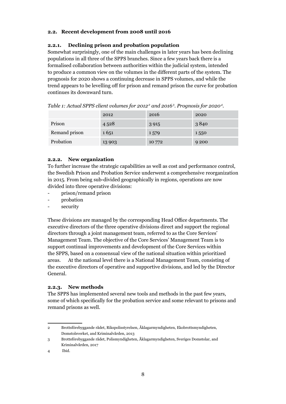## **2.2. Recent development from 2008 until 2016**

#### **2.2.1. Declining prison and probation population**

Somewhat surprisingly, one of the main challenges in later years has been declining populations in all three of the SPPS branches. Since a few years back there is a formalised collaboration between authorities within the judicial system, intended to produce a common view on the volumes in the different parts of the system. The prognosis for 2020 shows a continuing decrease in SPPS volumes, and while the trend appears to be levelling off for prison and remand prison the curve for probation continues its downward turn.

|               | 2012    | 2016    | 2020    |
|---------------|---------|---------|---------|
| Prison        | 4528    | 3 9 1 5 | 3840    |
| Remand prison | 1651    | 1579    | 1550    |
| Probation     | 13 9 03 | 10 772  | 9 2 0 0 |

*Table 1: Actual SPPS client volumes for 20122 and 20163 . Prognosis for 20204 .*

#### **2.2.2. New organization**

To further increase the strategic capabilities as well as cost and performance control, the Swedish Prison and Probation Service underwent a comprehensive reorganization in 2015. From being sub-divided geographically in regions, operations are now divided into three operative divisions:

- prison/remand prison
- probation
- security

These divisions are managed by the corresponding Head Office departments. The executive directors of the three operative divisions direct and support the regional directors through a joint management team, referred to as the Core Services' Management Team. The objective of the Core Services' Management Team is to support continual improvements and development of the Core Services within the SPPS, based on a consensual view of the national situation within prioritized areas. At the national level there is a National Management Team, consisting of the executive directors of operative and supportive divisions, and led by the Director General.

#### **2.2.3. New methods**

The SPPS has implemented several new tools and methods in the past few years, some of which specifically for the probation service and some relevant to prisons and remand prisons as well.

<sup>2</sup> Brottsförebyggande rådet, Rikspolisstyrelsen, Åklagarmyndigheten, Ekobrottsmyndigheten, Domstolsverket, and Kriminalvården, 2013

<sup>3</sup> Brottsförebyggande rådet, Polismyndigheten, Åklagarmyndigheten, Sveriges Domstolar, and Kriminalvården, 2017

<sup>4</sup> Ibid.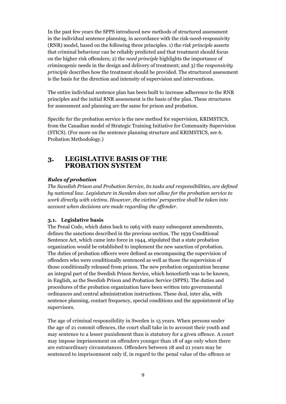In the past few years the SPPS introduced new methods of structured assessment in the individual sentence planning, in accordance with the risk-need-responsivity (RNR) model, based on the following three principles. 1) the *risk principle* asserts that criminal behaviour can be reliably predicted and that treatment should focus on the higher risk offenders; 2) the *need principle* highlights the importance of criminogenic needs in the design and delivery of treatment; and 3) the *responsivity principle* describes how the treatment should be provided. The structured assessment is the basis for the direction and intensity of supervision and interventions.

The entire individual sentence plan has been built to increase adherence to the RNR principles and the initial RNR assessment is the basis of the plan. These structures for assessment and planning are the same for prison and probation.

Specific for the probation service is the new method for supervision, KRIMSTICS, from the Canadian model of Strategic Training Initiative for Community Supervision (STICS). (For more on the sentence planning structure and KRIMSTICS, see 6*.*  Probation Methodology.)

# <span id="page-8-0"></span>**3. LEGISLATIVE BASIS OF THE PROBATION SYSTEM**

## *Rules of probation*

*The Swedish Prison and Probation Service, its tasks and responsibilities, are defined by national law. Legislature in Sweden does not allow for the probation service to work directly with victims. However, the victims' perspective shall be taken into account when decisions are made regarding the offender.*

#### **3.1. Legislative basis**

The Penal Code, which dates back to 1965 with many subsequent amendments, defines the sanctions described in the previous section. The 1939 Conditional Sentence Act, which came into force in 1944, stipulated that a state probation organization would be established to implement the new sanction of probation. The duties of probation officers were defined as encompassing the supervision of offenders who were conditionally sentenced as well as those the supervision of those conditionally released from prison. The new probation organization became an integral part of the Swedish Prison Service, which henceforth was to be known, in English, as the Swedish Prison and Probation Service (SPPS). The duties and procedures of the probation organization have been written into governmental ordinances and central administration instructions. These deal, inter alia, with sentence planning, contact frequency, special conditions and the appointment of lay supervisors.

The age of criminal responsibility in Sweden is 15 years. When persons under the age of 21 commit offences, the court shall take in to account their youth and may sentence to a lesser punishment than is statutory for a given offence. A court may impose imprisonment on offenders younger than 18 of age only when there are extraordinary circumstances. Offenders between 18 and 21 years may be sentenced to imprisonment only if, in regard to the penal value of the offence or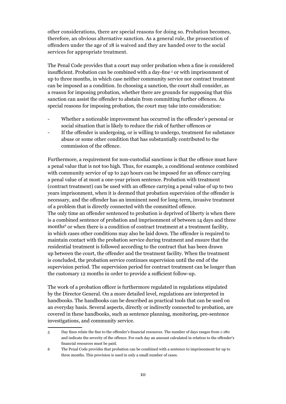other considerations, there are special reasons for doing so. Probation becomes, therefore, an obvious alternative sanction. As a general rule, the prosecution of offenders under the age of 18 is waived and they are handed over to the social services for appropriate treatment.

The Penal Code provides that a court may order probation when a fine is considered insufficient. Probation can be combined with a day-fine <sup>5</sup> or with imprisonment of up to three months, in which case neither community service nor contract treatment can be imposed as a condition. In choosing a sanction, the court shall consider, as a reason for imposing probation, whether there are grounds for supposing that this sanction can assist the offender to abstain from committing further offences. As special reasons for imposing probation, the court may take into consideration:

- Whether a noticeable improvement has occurred in the offender's personal or social situation that is likely to reduce the risk of further offences or
- If the offender is undergoing, or is willing to undergo, treatment for substance abuse or some other condition that has substantially contributed to the commission of the offence.

Furthermore, a requirement for non-custodial sanctions is that the offence must have a penal value that is not too high. Thus, for example, a conditional sentence combined with community service of up to 240 hours can be imposed for an offence carrying a penal value of at most a one-year prison sentence. Probation with treatment (contract treatment) can be used with an offence carrying a penal value of up to two years imprisonment, when it is deemed that probation supervision of the offender is necessary, and the offender has an imminent need for long-term, invasive treatment of a problem that is directly connected with the committed offence. The only time an offender sentenced to probation is deprived of liberty is when there is a combined sentence of probation and imprisonment of between 14 days and three months<sup>6</sup> or when there is a condition of contract treatment at a treatment facility, in which cases other conditions may also be laid down. The offender is required to maintain contact with the probation service during treatment and ensure that the residential treatment is followed according to the contract that has been drawn up between the court, the offender and the treatment facility. When the treatment is concluded, the probation service continues supervision until the end of the supervision period. The supervision period for contract treatment can be longer than the customary 12 months in order to provide a sufficient follow-up.

The work of a probation officer is furthermore regulated in regulations stipulated by the Director General. On a more detailed level, regulations are interpreted in handbooks. The handbooks can be described as practical tools that can be used on an everyday basis. Several aspects, directly or indirectly connected to probation, are covered in these handbooks, such as sentence planning, monitoring, pre-sentence investigations, and community service.

<sup>5</sup> Day fines relate the fine to the offender's financial resources. The number of days ranges from 1-180 and indicate the severity of the offence. For each day an amount calculated in relation to the offender's financial resources must be paid.

<sup>6</sup> The Penal Code provides that probation can be combined with a sentence to imprisonment for up to three months. This provision is used in only a small number of cases.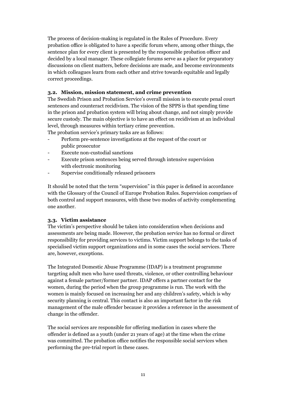The process of decision-making is regulated in the Rules of Procedure. Every probation office is obligated to have a specific forum where, among other things, the sentence plan for every client is presented by the responsible probation officer and decided by a local manager. These collegiate forums serve as a place for preparatory discussions on client matters, before decisions are made, and become environments in which colleagues learn from each other and strive towards equitable and legally correct proceedings.

#### **3.2. Mission, mission statement, and crime prevention**

The Swedish Prison and Probation Service's overall mission is to execute penal court sentences and counteract recidivism. The vision of the SPPS is that spending time in the prison and probation system will bring about change, and not simply provide secure custody. The main objective is to have an effect on recidivism at an individual level, through measures within tertiary crime prevention.

The probation service's primary tasks are as follows:

- Perform pre-sentence investigations at the request of the court or public prosecutor
- Execute non-custodial sanctions
- Execute prison sentences being served through intensive supervision with electronic monitoring
- Supervise conditionally released prisoners

It should be noted that the term "supervision" in this paper is defined in accordance with the Glossary of the Council of Europe Probation Rules. Supervision comprises of both control and support measures, with these two modes of activity complementing one another.

#### **3.3. Victim assistance**

The victim's perspective should be taken into consideration when decisions and assessments are being made. However, the probation service has no formal or direct responsibility for providing services to victims. Victim support belongs to the tasks of specialised victim support organizations and in some cases the social services. There are, however, exceptions.

The Integrated Domestic Abuse Programme (IDAP) is a treatment programme targeting adult men who have used threats, violence, or other controlling behaviour against a female partner/former partner. IDAP offers a partner contact for the women, during the period when the group programme is run. The work with the women is mainly focused on increasing her and any children's safety, which is why security planning is central. This contact is also an important factor in the risk management of the male offender because it provides a reference in the assessment of change in the offender.

The social services are responsible for offering mediation in cases where the offender is defined as a youth (under 21 years of age) at the time when the crime was committed. The probation office notifies the responsible social services when performing the pre-trial report in these cases.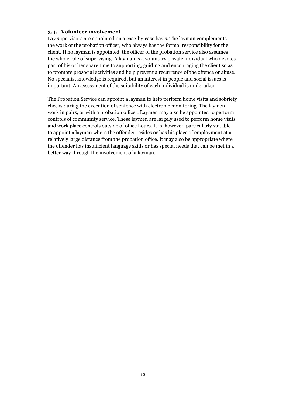#### **3.4. Volunteer involvement**

Lay supervisors are appointed on a case-by-case basis. The layman complements the work of the probation officer, who always has the formal responsibility for the client. If no layman is appointed, the officer of the probation service also assumes the whole role of supervising. A layman is a voluntary private individual who devotes part of his or her spare time to supporting, guiding and encouraging the client so as to promote prosocial activities and help prevent a recurrence of the offence or abuse. No specialist knowledge is required, but an interest in people and social issues is important. An assessment of the suitability of each individual is undertaken.

The Probation Service can appoint a layman to help perform home visits and sobriety checks during the execution of sentence with electronic monitoring. The laymen work in pairs, or with a probation officer. Laymen may also be appointed to perform controls of community service. These laymen are largely used to perform home visits and work place controls outside of office hours. It is, however, particularly suitable to appoint a layman where the offender resides or has his place of employment at a relatively large distance from the probation office. It may also be appropriate where the offender has insufficient language skills or has special needs that can be met in a better way through the involvement of a layman.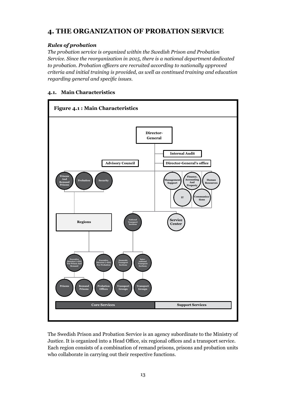# **4. THE ORGANIZATION OF PROBATION SERVICE**

# *Rules of probation*

*The probation service is organized within the Swedish Prison and Probation Service. Since the reorganization in 2015, there is a national department dedicated to probation. Probation officers are recruited according to nationally approved criteria and initial training is provided, as well as continued training and education regarding general and specific issues.* 

# **4.1. Main Characteristics**



The Swedish Prison and Probation Service is an agency subordinate to the Ministry of Justice. It is organized into a Head Office, six regional offices and a transport service. Each region consists of a combination of remand prisons, prisons and probation units who collaborate in carrying out their respective functions.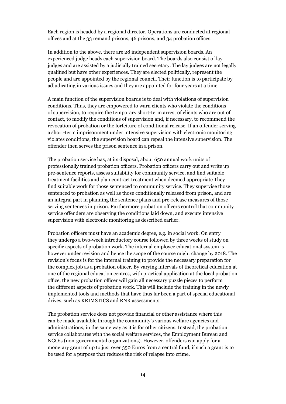Each region is headed by a regional director. Operations are conducted at regional offices and at the 33 remand prisons, 46 prisons, and 34 probation offices.

In addition to the above, there are 28 independent supervision boards. An experienced judge heads each supervision board. The boards also consist of lay judges and are assisted by a judicially trained secretary. The lay judges are not legally qualified but have other experiences. They are elected politically, represent the people and are appointed by the regional council. Their function is to participate by adjudicating in various issues and they are appointed for four years at a time.

A main function of the supervision boards is to deal with violations of supervision conditions. Thus, they are empowered to warn clients who violate the conditions of supervision, to require the temporary short-term arrest of clients who are out of contact, to modify the conditions of supervision and, if necessary, to recommend the revocation of probation or the forfeiture of conditional release. If an offender serving a short-term imprisonment under intensive supervision with electronic monitoring violates conditions, the supervision board can repeal the intensive supervision. The offender then serves the prison sentence in a prison.

The probation service has, at its disposal, about 650 annual work units of professionally trained probation officers. Probation officers carry out and write up pre-sentence reports, assess suitability for community service, and find suitable treatment facilities and plan contract treatment when deemed appropriate They find suitable work for those sentenced to community service. They supervise those sentenced to probation as well as those conditionally released from prison, and are an integral part in planning the sentence plans and pre-release measures of those serving sentences in prison. Furthermore probation officers control that community service offenders are observing the conditions laid down, and execute intensive supervision with electronic monitoring as described earlier.

Probation officers must have an academic degree, e.g. in social work. On entry they undergo a two-week introductory course followed by three weeks of study on specific aspects of probation work. The internal employee educational system is however under revision and hence the scope of the course might change by 2018. The revision's focus is for the internal training to provide the necessary preparation for the complex job as a probation officer. By varying intervals of theoretical education at one of the regional education centres, with practical application at the local probation office, the new probation officer will gain all necessary puzzle pieces to perform the different aspects of probation work. This will include the training in the newly implemented tools and methods that have thus far been a part of special educational drives, such as KRIMSTICS and RNR assessments.

The probation service does not provide financial or other assistance where this can be made available through the community's various welfare agencies and administrations, in the same way as it is for other citizens. Instead, the probation service collaborates with the social welfare services, the Employment Bureau and NGO:s (non-governmental organizations). However, offenders can apply for a monetary grant of up to just over 350 Euros from a central fund, if such a grant is to be used for a purpose that reduces the risk of relapse into crime.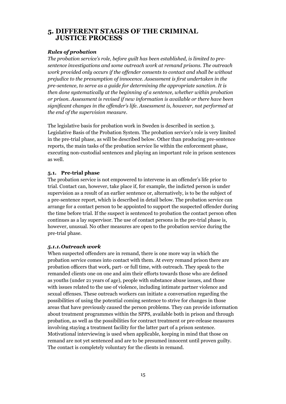# **5. DIFFERENT STAGES OF THE CRIMINAL JUSTICE PROCESS**

#### *Rules of probation*

*The probation service's role, before guilt has been established, is limited to presentence investigations and some outreach work at remand prisons. The outreach work provided only occurs if the offender consents to contact and shall be without prejudice to the presumption of innocence. Assessment is first undertaken in the pre-sentence, to serve as a guide for determining the appropriate sanction. It is then done systematically at the beginning of a sentence, whether within probation or prison. Assessment is revised if new information is available or there have been significant changes in the offender's life. Assessment is, however, not performed at the end of the supervision measure.*

The legislative basis for probation work in Sweden is described in section 3. Legislative Basis of the Probation System. The probation service's role is very limited in the pre-trial phase, as will be described below. Other than producing pre-sentence reports, the main tasks of the probation service lie within the enforcement phase, executing non-custodial sentences and playing an important role in prison sentences as well.

#### **5.1. Pre-trial phase**

The probation service is not empowered to intervene in an offender's life prior to trial. Contact can, however, take place if, for example, the indicted person is under supervision as a result of an earlier sentence or, alternatively, is to be the subject of a pre-sentence report, which is described in detail below. The probation service can arrange for a contact person to be appointed to support the suspected offender during the time before trial. If the suspect is sentenced to probation the contact person often continues as a lay supervisor. The use of contact persons in the pre-trial phase is, however, unusual. No other measures are open to the probation service during the pre-trial phase.

#### *5.1.1.Outreach work*

When suspected offenders are in remand, there is one more way in which the probation service comes into contact with them. At every remand prison there are probation officers that work, part- or full time, with outreach. They speak to the remanded clients one on one and aim their efforts towards those who are defined as youths (under 21 years of age), people with substance abuse issues, and those with issues related to the use of violence, including intimate partner violence and sexual offenses. These outreach workers can initiate a conversation regarding the possibilities of using the potential coming sentence to strive for changes in those areas that have previously caused the person problems. They can provide information about treatment programmes within the SPPS, available both in prison and through probation, as well as the possibilities for contract treatment or pre-release measures involving staying a treatment facility for the latter part of a prison sentence. Motivational interviewing is used when applicable, keeping in mind that those on remand are not yet sentenced and are to be presumed innocent until proven guilty. The contact is completely voluntary for the clients in remand.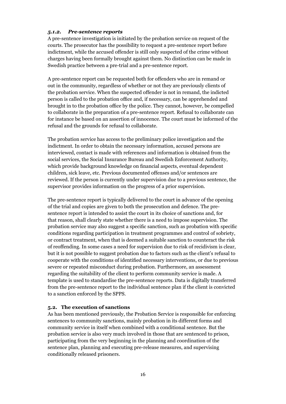#### *5.1.2. Pre-sentence reports*

A pre-sentence investigation is initiated by the probation service on request of the courts. The prosecutor has the possibility to request a pre-sentence report before indictment, while the accused offender is still only suspected of the crime without charges having been formally brought against them. No distinction can be made in Swedish practice between a pre-trial and a pre-sentence report.

A pre-sentence report can be requested both for offenders who are in remand or out in the community, regardless of whether or not they are previously clients of the probation service. When the suspected offender is not in remand, the indicted person is called to the probation office and, if necessary, can be apprehended and brought in to the probation office by the police. They cannot, however, be compelled to collaborate in the preparation of a pre-sentence report. Refusal to collaborate can for instance be based on an assertion of innocence. The court must be informed of the refusal and the grounds for refusal to collaborate.

The probation service has access to the preliminary police investigation and the indictment. In order to obtain the necessary information, accused persons are interviewed, contact is made with references and information is obtained from the social services, the Social Insurance Bureau and Swedish Enforcement Authority, which provide background knowledge on financial aspects, eventual dependent children, sick leave, etc. Previous documented offenses and/or sentences are reviewed. If the person is currently under supervision due to a previous sentence, the supervisor provides information on the progress of a prior supervision.

The pre-sentence report is typically delivered to the court in advance of the opening of the trial and copies are given to both the prosecution and defence. The presentence report is intended to assist the court in its choice of sanctions and, for that reason, shall clearly state whether there is a need to impose supervision. The probation service may also suggest a specific sanction, such as probation with specific conditions regarding participation in treatment programmes and control of sobriety, or contract treatment, when that is deemed a suitable sanction to counteract the risk of reoffending. In some cases a need for supervision due to risk of recidivism is clear, but it is not possible to suggest probation due to factors such as the client's refusal to cooperate with the conditions of identified necessary interventions, or due to previous severe or repeated misconduct during probation. Furthermore, an assessment regarding the suitability of the client to perform community service is made. A template is used to standardise the pre-sentence reports. Data is digitally transferred from the pre-sentence report to the individual sentence plan if the client is convicted to a sanction enforced by the SPPS.

#### **5.2. The execution of sanctions**

As has been mentioned previously, the Probation Service is responsible for enforcing sentences to community sanctions, mainly probation in its different forms and community service in itself when combined with a conditional sentence. But the probation service is also very much involved in those that are sentenced to prison, participating from the very beginning in the planning and coordination of the sentence plan, planning and executing pre-release measures, and supervising conditionally released prisoners.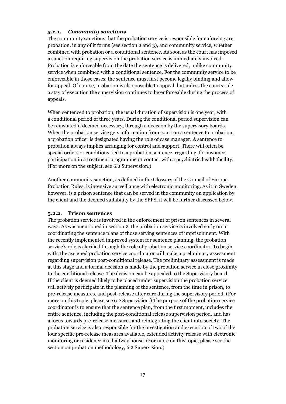#### *5.2.1. Community sanctions*

The community sanctions that the probation service is responsible for enforcing are probation, in any of it forms (see section [2](#page-4-0) and [3\)](#page-8-0), and community service, whether combined with probation or a conditional sentence. As soon as the court has imposed a sanction requiring supervision the probation service is immediately involved. Probation is enforceable from the date the sentence is delivered, unlike community service when combined with a conditional sentence. For the community service to be enforceable in those cases, the sentence must first become legally binding and allow for appeal. Of course, probation is also possible to appeal, but unless the courts rule a stay of execution the supervision continues to be enforceable during the process of appeals.

When sentenced to probation, the usual duration of supervision is one year, with a conditional period of three years. During the conditional period supervision can be reinstated if deemed necessary, through a decision by the supervisory boards. When the probation service gets information from court on a sentence to probation, a probation officer is designated having the role of case manager. A sentence to probation always implies arranging for control and support. There will often be special orders or conditions tied to a probation sentence, regarding, for instance, participation in a treatment programme or contact with a psychiatric health facility. (For more on the subject, see 6.2 Supervision.)

Another community sanction, as defined in the Glossary of the Council of Europe Probation Rules, is intensive surveillance with electronic monitoring. As it in Sweden, however, is a prison sentence that can be served in the community on application by the client and the deemed suitability by the SPPS, it will be further discussed below.

#### **5.2.2. Prison sentences**

The probation service is involved in the enforcement of prison sentences in several ways. As was mentioned in section [2](#page-4-0), the probation service is involved early on in coordinating the sentence plans of those serving sentences of imprisonment. With the recently implemented improved system for sentence planning, the probation service's role is clarified through the role of probation service coordinator. To begin with, the assigned probation service coordinator will make a preliminary assessment regarding supervision post-conditional release. The preliminary assessment is made at this stage and a formal decision is made by the probation service in close proximity to the conditional release. The decision can be appealed to the Supervisory board. If the client is deemed likely to be placed under supervision the probation service will actively participate in the planning of the sentence, from the time in prison, to pre-release measures, and post-release after care during the supervisory period. (For more on this topic, please see [6.2](#page-18-0) [Supervision.](#page-18-0)) The purpose of the probation service coordinator is to ensure that the sentence plan, from the first moment, includes the entire sentence, including the post-conditional release supervision period, and has a focus towards pre-release measures and reintegrating the client into society. The probation service is also responsible for the investigation and execution of two of the four specific pre-release measures available, extended activity release with electronic monitoring or residence in a halfway house. (For more on this topic, please see the section on probation methodology, [6.2 Supervision.](#page-18-0))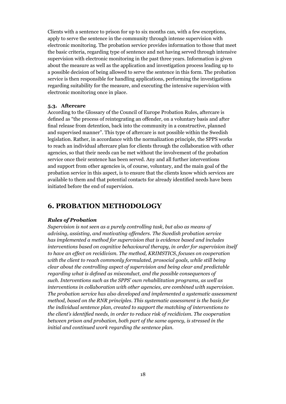Clients with a sentence to prison for up to six months can, with a few exceptions, apply to serve the sentence in the community through intense supervision with electronic monitoring. The probation service provides information to those that meet the basic criteria, regarding type of sentence and not having served through intensive supervision with electronic monitoring in the past three years. Information is given about the measure as well as the application and investigation process leading up to a possible decision of being allowed to serve the sentence in this form. The probation service is then responsible for handling applications, performing the investigations regarding suitability for the measure, and executing the intensive supervision with electronic monitoring once in place.

#### **5.3. Aftercare**

According to the Glossary of the Council of Europe Probation Rules, aftercare is defined as "the process of reintegrating an offender, on a voluntary basis and after final release from detention, back into the community in a constructive, planned and supervised manner". This type of aftercare is not possible within the Swedish legislation. Rather, in accordance with the normalization principle, the SPPS works to reach an individual aftercare plan for clients through the collaboration with other agencies, so that their needs can be met without the involvement of the probation service once their sentence has been served. Any and all further interventions and support from other agencies is, of course, voluntary, and the main goal of the probation service in this aspect, is to ensure that the clients know which services are available to them and that potential contacts for already identified needs have been initiated before the end of supervision.

# **6. PROBATION METHODOLOGY**

#### *Rules of Probation*

*Supervision is not seen as a purely controlling task, but also as means of advising, assisting, and motivating offenders. The Swedish probation service has implemented a method for supervision that is evidence based and includes interventions based on cognitive behavioural therapy, in order for supervision itself to have an effect on recidivism. The method, KRIMSTICS, focuses on cooperation*  with the client to reach commonly formulated, prosocial goals, while still being *clear about the controlling aspect of supervision and being clear and predictable regarding what is defined as misconduct, and the possible consequences of such. Interventions such as the SPPS' own rehabilitation programs, as well as interventions in collaboration with other agencies, are combined with supervision. The probation service has also developed and implemented a systematic assessment method, based on the RNR principles. This systematic assessment is the basis for the individual sentence plan, created to support the matching of interventions to the client's identified needs, in order to reduce risk of recidivism. The cooperation between prison and probation, both part of the same agency, is stressed in the initial and continued work regarding the sentence plan.*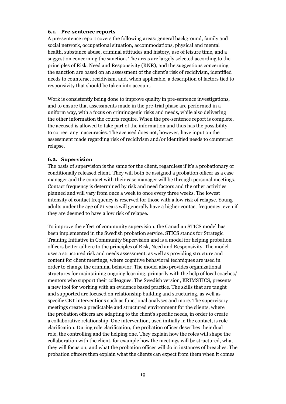#### **6.1. Pre-sentence reports**

A pre-sentence report covers the following areas: general background, family and social network, occupational situation, accommodations, physical and mental health, substance abuse, criminal attitudes and history, use of leisure time, and a suggestion concerning the sanction. The areas are largely selected according to the principles of Risk, Need and Responsivity (RNR), and the suggestions concerning the sanction are based on an assessment of the client's risk of recidivism, identified needs to counteract recidivism, and, when applicable, a description of factors tied to responsivity that should be taken into account.

Work is consistently being done to improve quality in pre-sentence investigations, and to ensure that assessments made in the pre-trial phase are performed in a uniform way, with a focus on criminogenic risks and needs, while also delivering the other information the courts require. When the pre-sentence report is complete, the accused is allowed to take part of the information and thus has the possibility to correct any inaccuracies. The accused does not, however, have input on the assessment made regarding risk of recidivism and/or identified needs to counteract relapse.

#### <span id="page-18-0"></span>**6.2. Supervision**

The basis of supervision is the same for the client, regardless if it's a probationary or conditionally released client. They will both be assigned a probation officer as a case manager and the contact with their case manager will be through personal meetings. Contact frequency is determined by risk and need factors and the other activities planned and will vary from once a week to once every three weeks. The lowest intensity of contact frequency is reserved for those with a low risk of relapse. Young adults under the age of 21 years will generally have a higher contact frequency, even if they are deemed to have a low risk of relapse.

To improve the effect of community supervision, the Canadian STICS model has been implemented in the Swedish probation service. STICS stands for Strategic Training Initiative in Community Supervision and is a model for helping probation officers better adhere to the principles of Risk, Need and Responsivity. The model uses a structured risk and needs assessment, as well as providing structure and content for client meetings, where cognitive behavioral techniques are used in order to change the criminal behavior. The model also provides organizational structures for maintaining ongoing learning, primarily with the help of local coaches/ mentors who support their colleagues. The Swedish version, KRIMSTICS, presents a new tool for working with an evidence based practice. The skills that are taught and supported are focused on relationship building and structuring, as well as specific CBT interventions such as functional analyses and more. The supervisory meetings create a predictable and structured environment for the clients, where the probation officers are adapting to the client's specific needs, in order to create a collaborative relationship. One intervention, used initially in the contact, is role clarification. During role clarification, the probation officer describes their dual role, the controlling and the helping one. They explain how the roles will shape the collaboration with the client, for example how the meetings will be structured, what they will focus on, and what the probation officer will do in instances of breaches. The probation officers then explain what the clients can expect from them when it comes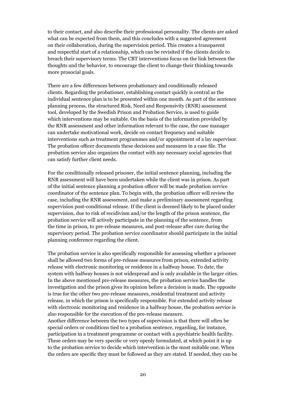to their contact, and also describe their professional personality. The clients are asked what can be expected from them, and this concludes with a suggested agreement on their collaboration, during the supervision period. This creates a transparent and respectful start of a relationship, which can be revisited if the clients decide to breach their supervisory terms. The CBT interventions focus on the link between the thoughts and the behavior, to encourage the client to change their thinking towards more prosocial goals.

There are a few differences between probationary and conditionally released clients. Regarding the probationer, establishing contact quickly is central as the individual sentence plan is to be presented within one month. As part of the sentence planning process, the structured Risk, Need and Responsivity (RNR) assessment tool, developed by the Swedish Prison and Probation Service, is used to guide which interventions may be suitable. On the basis of the information provided by the RNR assessment and other information relevant to the case, the case manager can undertake motivational work, decide on contact frequency and suitable interventions such as treatment programmes and/or appointment of a lay supervisor. The probation officer documents these decisions and measures in a case file. The probation service also organizes the contact with any necessary social agencies that can satisfy further client needs.

For the conditionally released prisoner, the initial sentence planning, including the RNR assessment will have been undertaken while the client was in prison. As part of the initial sentence planning a probation officer will be made probation service coordinator of the sentence plan. To begin with, the probation officer will review the case, including the RNR assessment, and make a preliminary assessment regarding supervision post-conditional release. If the client is deemed likely to be placed under supervision, due to risk of recidivism and/or the length of the prison sentence, the probation service will actively participate in the planning of the sentence, from the time in prison, to pre-release measures, and post-release after care during the supervisory period. The probation service coordinator should participate in the initial planning conference regarding the client.

The probation service is also specifically responsible for assessing whether a prisoner shall be allowed two forms of pre-release measures from prison, extended activity release with electronic monitoring or residence in a halfway house. To date, the system with halfway houses is not widespread and is only available in the larger cities. In the above mentioned pre-release measures, the probation service handles the investigation and the prison gives its opinion before a decision is made. The opposite is true for the other two pre-release measures, residential treatment and activity release, in which the prison is specifically responsible. For extended activity release with electronic monitoring and residence in a halfway house, the probation service is also responsible for the execution of the pre-release measure.

Another difference between the two types of supervision is that there will often be special orders or conditions tied to a probation sentence, regarding, for instance, participation in a treatment programme or contact with a psychiatric health facility. These orders may be very specific or very openly formulated, at which point it is up to the probation service to decide which intervention is the most suitable one. When the orders are specific they must be followed as they are stated. If needed, they can be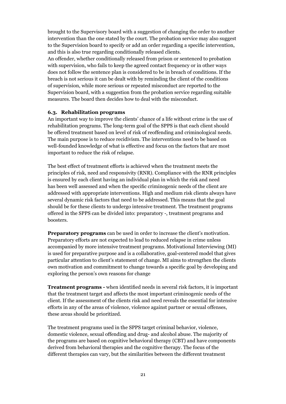brought to the Supervisory board with a suggestion of changing the order to another intervention than the one stated by the court. The probation service may also suggest to the Supervision board to specify or add an order regarding a specific intervention, and this is also true regarding conditionally released clients.

An offender, whether conditionally released from prison or sentenced to probation with supervision, who fails to keep the agreed contact frequency or in other ways does not follow the sentence plan is considered to be in breach of conditions. If the breach is not serious it can be dealt with by reminding the client of the conditions of supervision, while more serious or repeated misconduct are reported to the Supervision board, with a suggestion from the probation service regarding suitable measures. The board then decides how to deal with the misconduct.

#### **6.3. Rehabilitation programs**

An important way to improve the clients' chance of a life without crime is the use of rehabilitation programs. The long-term goal of the SPPS is that each client should be offered treatment based on level of risk of reoffending and criminological needs. The main purpose is to reduce recidivism. The interventions need to be based on well-founded knowledge of what is effective and focus on the factors that are most important to reduce the risk of relapse.

The best effect of treatment efforts is achieved when the treatment meets the principles of risk, need and responsivity (RNR). Compliance with the RNR principles is ensured by each client having an individual plan in which the risk and need has been well assessed and when the specific criminogenic needs of the client are addressed with appropriate interventions. High and medium risk clients always have several dynamic risk factors that need to be addressed. This means that the goal should be for these clients to undergo intensive treatment. The treatment programs offered in the SPPS can be divided into: preparatory -, treatment programs and boosters.

**Preparatory programs** can be used in order to increase the client's motivation. Preparatory efforts are not expected to lead to reduced relapse in crime unless accompanied by more intensive treatment programs. Motivational Interviewing (MI) is used for preparative purpose and is a collaborative, goal-centered model that gives particular attention to client's statement of change. MI aims to strengthen the clients own motivation and commitment to change towards a specific goal by developing and exploring the person's own reasons for change

**Treatment programs -** when identified needs in several risk factors, it is important that the treatment target and affects the most important criminogenic needs of the client. If the assessment of the clients risk and need reveals the essential for intensive efforts in any of the areas of violence, violence against partner or sexual offenses, these areas should be prioritized.

The treatment programs used in the SPPS target criminal behavior, violence, domestic violence, sexual offending and drug- and alcohol abuse. The majority of the programs are based on cognitive behavioral therapy (CBT) and have components derived from behavioral therapies and the cognitive therapy. The focus of the different therapies can vary, but the similarities between the different treatment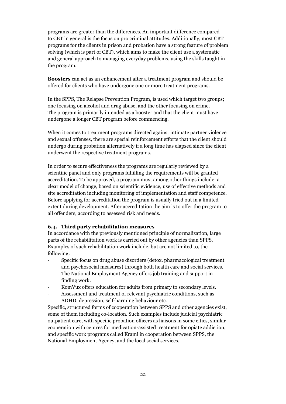programs are greater than the differences. An important difference compared to CBT in general is the focus on pro criminal attitudes. Additionally, most CBT programs for the clients in prison and probation have a strong feature of problem solving (which is part of CBT), which aims to make the client use a systematic and general approach to managing everyday problems, using the skills taught in the program.

**Boosters** can act as an enhancement after a treatment program and should be offered for clients who have undergone one or more treatment programs.

In the SPPS, The Relapse Prevention Program, is used which target two groups; one focusing on alcohol and drug abuse, and the other focusing on crime. The program is primarily intended as a booster and that the client must have undergone a longer CBT program before commencing.

When it comes to treatment programs directed against intimate partner violence and sexual offenses, there are special reinforcement efforts that the client should undergo during probation alternatively if a long time has elapsed since the client underwent the respective treatment programs.

In order to secure effectiveness the programs are regularly reviewed by a scientific panel and only programs fulfilling the requirements will be granted accreditation. To be approved, a program must among other things include: a clear model of change, based on scientific evidence, use of effective methods and site accreditation including monitoring of implementation and staff competence. Before applying for accreditation the program is usually tried out in a limited extent during development. After accreditation the aim is to offer the program to all offenders, according to assessed risk and needs.

#### **6.4. Third party rehabilitation measures**

In accordance with the previously mentioned principle of normalization, large parts of the rehabilitation work is carried out by other agencies than SPPS. Examples of such rehabilitation work include, but are not limited to, the following:

- Specific focus on drug abuse disorders (detox, pharmacological treatment and psychosocial measures) through both health care and social services.
- The National Employment Agency offers job training and support in finding work.
- KomVux offers education for adults from primary to secondary levels.
- Assessment and treatment of relevant psychiatric conditions, such as ADHD, depression, self-harming behaviour etc.

Specific, structured forms of cooperation between SPPS and other agencies exist, some of them including co-location. Such examples include judicial psychiatric outpatient care, with specific probation officers as liaisons in some cities, similar cooperation with centres for medication-assisted treatment for opiate addiction, and specific work programs called Krami in cooperation between SPPS, the National Employment Agency, and the local social services.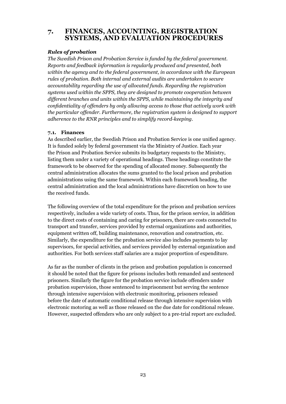# **7. FINANCES, ACCOUNTING, REGISTRATION SYSTEMS, AND EVALUATION PROCEDURES**

#### *Rules of probation*

*The Swedish Prison and Probation Service is funded by the federal government. Reports and feedback information is regularly produced and presented, both within the agency and to the federal government, in accordance with the European rules of probation. Both internal and external audits are undertaken to secure accountability regarding the use of allocated funds. Regarding the registration systems used within the SPPS, they are designed to promote cooperation between different branches and units within the SPPS, while maintaining the integrity and confidentiality of offenders by only allowing access to those that actively work with the particular offender. Furthermore, the registration system is designed to support adherence to the RNR principles and to simplify record-keeping.*

## **7.1. Finances**

As described earlier, the Swedish Prison and Probation Service is one unified agency. It is funded solely by federal government via the Ministry of Justice. Each year the Prison and Probation Service submits its budgetary requests to the Ministry, listing them under a variety of operational headings. These headings constitute the framework to be observed for the spending of allocated money. Subsequently the central administration allocates the sums granted to the local prison and probation administrations using the same framework. Within each framework heading, the central administration and the local administrations have discretion on how to use the received funds.

The following overview of the total expenditure for the prison and probation services respectively, includes a wide variety of costs. Thus, for the prison service, in addition to the direct costs of containing and caring for prisoners, there are costs connected to transport and transfer, services provided by external organizations and authorities, equipment written off, building maintenance, renovation and construction, etc. Similarly, the expenditure for the probation service also includes payments to lay supervisors, for special activities, and services provided by external organization and authorities. For both services staff salaries are a major proportion of expenditure.

As far as the number of clients in the prison and probation population is concerned it should be noted that the figure for prisons includes both remanded and sentenced prisoners. Similarly the figure for the probation service include offenders under probation supervision, those sentenced to imprisonment but serving the sentence through intensive supervision with electronic monitoring, prisoners released before the date of automatic conditional release through intensive supervision with electronic motoring as well as those released on the due date for conditional release. However, suspected offenders who are only subject to a pre-trial report are excluded.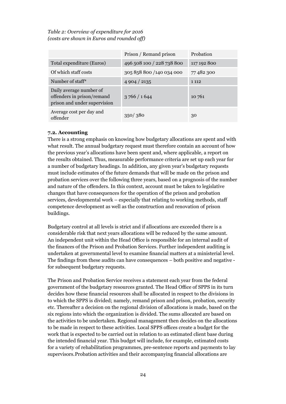*Table 2: Overview of expenditure for 2016 (costs are shown in Euros and rounded off)*

|                                                                                       | Prison / Remand prison    | Probation   |
|---------------------------------------------------------------------------------------|---------------------------|-------------|
| Total expenditure (Euros)                                                             | 496 508 100 / 228 738 800 | 117 192 800 |
| Of which staff costs                                                                  | 305 858 800 /140 034 000  | 77482300    |
| Number of staff*                                                                      | 4904/2135                 | 1 1 1 2     |
| Daily average number of<br>offenders in prison/remand<br>prison and under supervision | 3766/1644                 | 10 761      |
| Average cost per day and<br>offender                                                  | 350/380                   | 30          |

#### **7.2. Accounting**

There is a strong emphasis on knowing how budgetary allocations are spent and with what result. The annual budgetary request must therefore contain an account of how the previous year's allocations have been spent and, where applicable, a report on the results obtained. Thus, measurable performance criteria are set up each year for a number of budgetary headings. In addition, any given year's budgetary requests must include estimates of the future demands that will be made on the prison and probation services over the following three years, based on a prognosis of the number and nature of the offenders. In this context, account must be taken to legislative changes that have consequences for the operation of the prison and probation services, developmental work – especially that relating to working methods, staff competence development as well as the construction and renovation of prison buildings.

Budgetary control at all levels is strict and if allocations are exceeded there is a considerable risk that next years allocations will be reduced by the same amount. An independent unit within the Head Office is responsible for an internal audit of the finances of the Prison and Probation Services. Further independent auditing is undertaken at governmental level to examine financial matters at a ministerial level. The findings from these audits can have consequences – both positive and negative for subsequent budgetary requests.

The Prison and Probation Service receives a statement each year from the federal government of the budgetary resources granted. The Head Office of SPPS in its turn decides how these financial resources shall be allocated in respect to the divisions in to which the SPPS is divided; namely, remand prison and prison, probation, security etc. Thereafter a decision on the regional division of allocations is made, based on the six regions into which the organization is divided. The sums allocated are based on the activities to be undertaken. Regional management then decides on the allocations to be made in respect to these activities. Local SPPS offices create a budget for the work that is expected to be carried out in relation to an estimated client base during the intended financial year. This budget will include, for example, estimated costs for a variety of rehabilitation programmes, pre-sentence reports and payments to lay supervisors.Probation activities and their accompanying financial allocations are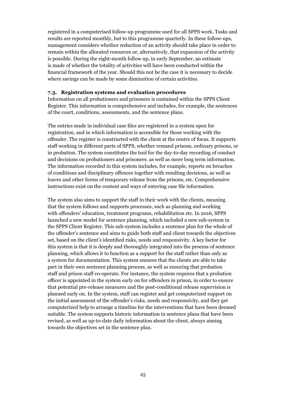registered in a computerised follow-up programme used for all SPPS work. Tasks and results are reported monthly, but to this programme quarterly. In these follow-ups, management considers whether reduction of an activity should take place in order to remain within the allocated resources or, alternatively, that expansion of the activity is possible. During the eight-month follow up, in early September, an estimate is made of whether the totality of activities will have been conducted within the financial framework of the year. Should this not be the case it is necessary to decide where savings can be made by some diminution of certain activities.

#### **7.3. Registration systems and evaluation procedures**

Information on all probationers and prisoners is contained within the SPPS Client Register. This information is comprehensive and includes, for example, the sentences of the court, conditions, assessments, and the sentence plans.

The entries made in individual case files are registered in a system open for registration, and in which information is accessible for those working with the offender. The register is constructed with the client at the centre of focus. It supports staff working in different parts of SPPS, whether remand prisons, ordinary prisons, or in probation. The system constitutes the tool for the day-to-day recording of conduct and decisions on probationers and prisoners, as well as more long term information. The information recorded in this system includes, for example, reports on breaches of conditions and disciplinary offences together with resulting decisions, as well as leaves and other forms of temporary release from the prisons, etc. Comprehensive instructions exist on the content and ways of entering case file information.

The system also aims to support the staff in their work with the clients, meaning that the system follows and supports processes, such as planning and working with offenders' education, treatment programs, rehabilitation etc. In 2016, SPPS launched a new model for sentence planning, which included a new sub-system in the SPPS Client Register. This sub-system includes a sentence plan for the whole of the offender's sentence and aims to guide both staff and client towards the objectives set, based on the client's identified risks, needs and responsivity. A key factor for this system is that it is deeply and thoroughly integrated into the process of sentence planning, which allows it to function as a support for the staff rather than only as a system for documentation. This system ensures that the clients are able to take part in their own sentence planning process, as well as ensuring that probation staff and prison staff co-operate. For instance, the system requires that a probation officer is appointed in the system early on for offenders in prison, in order to ensure that potential pre-release measures and the post-conditional release supervision is planned early on. In the system, staff can register and get computerized support on the initial assessment of the offender's risks, needs and responsivity, and they get computerized help to arrange a timeline for the interventions that have been deemed suitable. The system supports historic information in sentence plans that have been revised, as well as up-to-date daily information about the client, always aiming towards the objectives set in the sentence plan.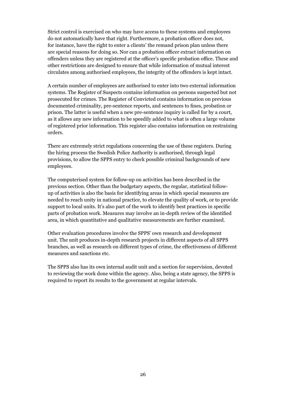Strict control is exercised on who may have access to these systems and employees do not automatically have that right. Furthermore, a probation officer does not, for instance, have the right to enter a clients' the remand prison plan unless there are special reasons for doing so. Nor can a probation officer extract information on offenders unless they are registered at the officer's specific probation office. These and other restrictions are designed to ensure that while information of mutual interest circulates among authorised employees, the integrity of the offenders is kept intact.

A certain number of employees are authorised to enter into two external information systems. The Register of Suspects contains information on persons suspected but not prosecuted for crimes. The Register of Convicted contains information on previous documented criminality, pre-sentence reports, and sentences to fines, probation or prison. The latter is useful when a new pre-sentence inquiry is called for by a court, as it allows any new information to be speedily added to what is often a large volume of registered prior information. This register also contains information on restraining orders.

There are extremely strict regulations concerning the use of these registers. During the hiring process the Swedish Police Authority is authorised, through legal provisions, to allow the SPPS entry to check possible criminal backgrounds of new employees.

The computerised system for follow-up on activities has been described in the previous section. Other than the budgetary aspects, the regular, statistical followup of activities is also the basis for identifying areas in which special measures are needed to reach unity in national practice, to elevate the quality of work, or to provide support to local units. It's also part of the work to identify best practices in specific parts of probation work. Measures may involve an in-depth review of the identified area, in which quantitative and qualitative measurements are further examined.

Other evaluation procedures involve the SPPS' own research and development unit. The unit produces in-depth research projects in different aspects of all SPPS branches, as well as research on different types of crime, the effectiveness of different measures and sanctions etc.

The SPPS also has its own internal audit unit and a section for supervision, devoted to reviewing the work done within the agency. Also, being a state agency, the SPPS is required to report its results to the government at regular intervals.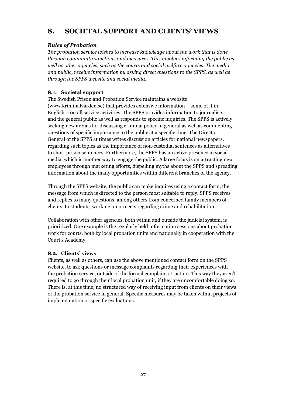# **8. SOCIETAL SUPPORT AND CLIENTS' VIEWS**

## *Rules of Probation*

*The probation service wishes to increase knowledge about the work that is done through community sanctions and measures. This involves informing the public as well as other agencies, such as the courts and social welfare agencies. The media and public, receive information by asking direct questions to the SPPS, as well as through the SPPS website and social media.*

## **8.1. Societal support**

The Swedish Prison and Probation Service maintains a website [\(www.kriminalvarden.se\)](http://www.kriminalvarden.se) that provides extensive information – some of it in English – on all service activities. The SPPS provides information to journalists and the general public as well as responds to specific inquiries. The SPPS is actively seeking new arenas for discussing criminal policy in general as well as commenting questions of specific importance to the public at a specific time. The Director General of the SPPS at times writes discussion articles for national newspapers, regarding such topics as the importance of non-custodial sentences as alternatives to short prison sentences. Furthermore, the SPPS has an active presence in social media, which is another way to engage the public. A large focus is on attracting new employees through marketing efforts, dispelling myths about the SPPS and spreading information about the many opportunities within different branches of the agency.

Through the SPPS website, the public can make inquires using a contact form, the message from which is directed to the person most suitable to reply. SPPS receives and replies to many questions, among others from concerned family members of clients, to students, working on projects regarding crime and rehabilitation.

Collaboration with other agencies, both within and outside the judicial system, is prioritized. One example is the regularly held information sessions about probation work for courts, both by local probation units and nationally in cooperation with the Court's Academy.

## **8.2. Clients' views**

Clients, as well as others, can use the above mentioned contact form on the SPPS website, to ask questions or message complaints regarding their experiences with the probation service, outside of the formal complaint structure. This way they aren't required to go through their local probation unit, if they are uncomfortable doing so. There is, at this time, no structured way of receiving input from clients on their views of the probation service in general. Specific measures may be taken within projects of implementation or specific evaluations.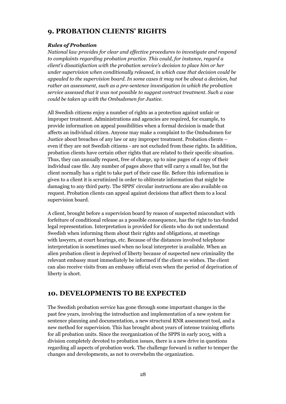# **9. PROBATION CLIENTS' RIGHTS**

#### *Rules of Probation*

*National law provides for clear and effective procedures to investigate and respond to complaints regarding probation practice. This could, for instance, regard a client's dissatisfaction with the probation service's decision to place him or her under supervision when conditionally released, in which case that decision could be appealed to the supervision board. In some cases it may not be about a decision, but rather an assessment, such as a pre-sentence investigation in which the probation service assessed that it was not possible to suggest contract treatment. Such a case could be taken up with the Ombudsmen for Justice.*

All Swedish citizens enjoy a number of rights as a protection against unfair or improper treatment. Administrations and agencies are required, for example, to provide information on appeal possibilities when a formal decision is made that affects an individual citizen. Anyone may make a complaint to the Ombudsmen for Justice about breaches of any law or any improper treatment. Probation clients – even if they are not Swedish citizens - are not excluded from these rights. In addition, probation clients have certain other rights that are related to their specific situation. Thus, they can annually request, free of charge, up to nine pages of a copy of their individual case file. Any number of pages above that will carry a small fee, but the client normally has a right to take part of their case file. Before this information is given to a client it is scrutinized in order to obliterate information that might be damaging to any third party. The SPPS' circular instructions are also available on request. Probation clients can appeal against decisions that affect them to a local supervision board.

A client, brought before a supervision board by reason of suspected misconduct with forfeiture of conditional release as a possible consequence, has the right to tax-funded legal representation. Interpretation is provided for clients who do not understand Swedish when informing them about their rights and obligations, at meetings with lawyers, at court hearings, etc. Because of the distances involved telephone interpretation is sometimes used when no local interpreter is available. When an alien probation client is deprived of liberty because of suspected new criminality the relevant embassy must immediately be informed if the client so wishes. The client can also receive visits from an embassy official even when the period of deprivation of liberty is short.

# **10. DEVELOPMENTS TO BE EXPECTED**

The Swedish probation service has gone through some important changes in the past few years, involving the introduction and implementation of a new system for sentence planning and documentation, a new structural RNR assessment tool, and a new method for supervision. This has brought about years of intense training efforts for all probation units. Since the reorganization of the SPPS in early 2015, with a division completely devoted to probation issues, there is a new drive in questions regarding all aspects of probation work. The challenge forward is rather to temper the changes and developments, as not to overwhelm the organization.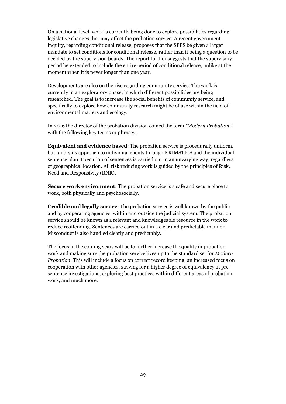On a national level, work is currently being done to explore possibilities regarding legislative changes that may affect the probation service. A recent government inquiry, regarding conditional release, proposes that the SPPS be given a larger mandate to set conditions for conditional release, rather than it being a question to be decided by the supervision boards. The report further suggests that the supervisory period be extended to include the entire period of conditional release, unlike at the moment when it is never longer than one year.

Developments are also on the rise regarding community service. The work is currently in an exploratory phase, in which different possibilities are being researched. The goal is to increase the social benefits of community service, and specifically to explore how community research might be of use within the field of environmental matters and ecology.

In 2016 the director of the probation division coined the term *"Modern Probation",* with the following key terms or phrases:

**Equivalent and evidence based**: The probation service is procedurally uniform, but tailors its approach to individual clients through KRIMSTICS and the individual sentence plan. Execution of sentences is carried out in an unvarying way, regardless of geographical location. All risk reducing work is guided by the principles of Risk, Need and Responsivity (RNR).

**Secure work environment**: The probation service is a safe and secure place to work, both physically and psychosocially.

**Credible and legally secure**: The probation service is well known by the public and by cooperating agencies, within and outside the judicial system. The probation service should be known as a relevant and knowledgeable resource in the work to reduce reoffending. Sentences are carried out in a clear and predictable manner. Misconduct is also handled clearly and predictably.

The focus in the coming years will be to further increase the quality in probation work and making sure the probation service lives up to the standard set for *Modern Probation*. This will include a focus on correct record keeping, an increased focus on cooperation with other agencies, striving for a higher degree of equivalency in presentence investigations, exploring best practices within different areas of probation work, and much more.